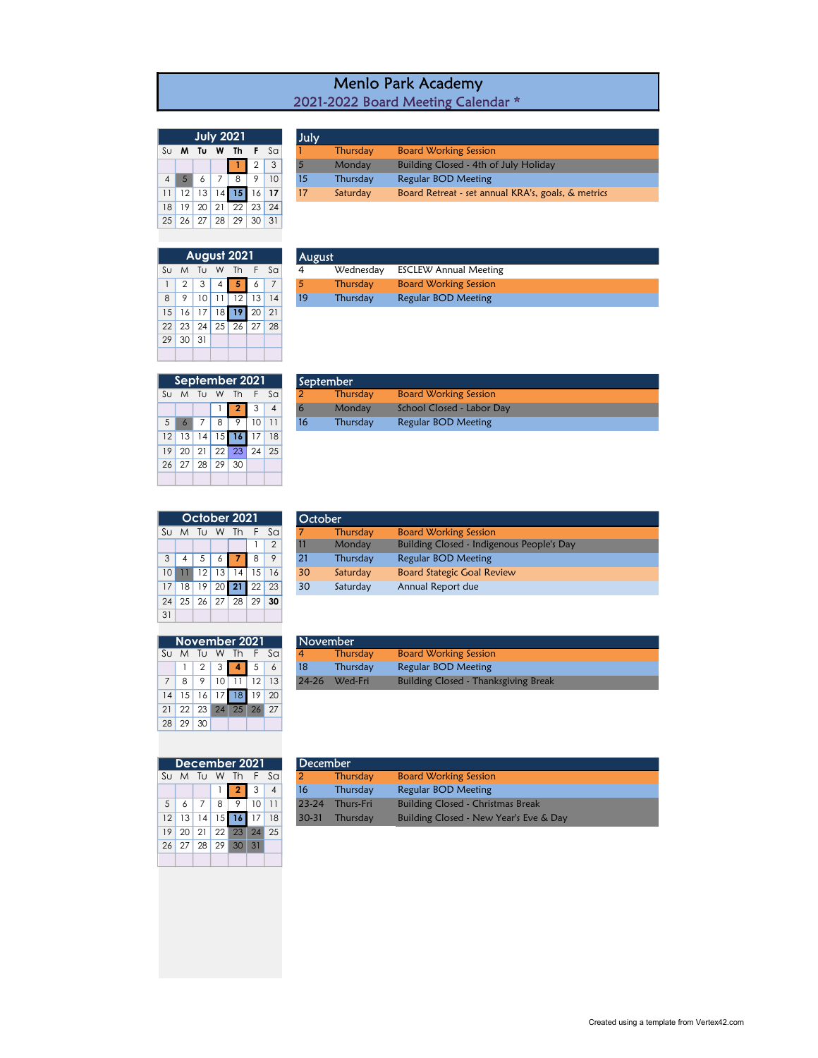| <b>Menlo Park Academy</b>          |  |
|------------------------------------|--|
| 2021-2022 Board Meeting Calendar * |  |

Thursday Board Working Session 1 2 3 5 Monday Building Closed - 4th of July Holiday

| <b>July 2021</b>                                            |                 |              |            |    |                |    |  |  |  |  |  |
|-------------------------------------------------------------|-----------------|--------------|------------|----|----------------|----|--|--|--|--|--|
| $\mathsf{S}\cup$<br>Τu<br>Th<br>$S_{\Omega}$<br>F<br>W<br>м |                 |              |            |    |                |    |  |  |  |  |  |
|                                                             |                 |              |            |    | $\overline{2}$ | 3  |  |  |  |  |  |
| $\overline{A}$                                              | 5               | 6            | 7          | 8  | 9              | 10 |  |  |  |  |  |
| 11                                                          | 12 <sup>1</sup> | 13           | 14         | 15 | 16             | 17 |  |  |  |  |  |
| 18                                                          | 19              | 20           | 21         | 22 | 23             | 24 |  |  |  |  |  |
| 25                                                          |                 | $26 \mid 27$ | $\vert$ 28 | 29 | 30             | 31 |  |  |  |  |  |

July

|    |    |    |    | <b>August 2021</b> |    |    |    | August    |
|----|----|----|----|--------------------|----|----|----|-----------|
| Su | M  | Tu | W  | Th                 | F  | Sa | 4  | Wednesday |
| 1  | 2  | 3  | 4  | л                  | 6  | 7  | 5  | Thursday  |
| 8  | 9  | 10 |    | 12                 | 13 | 14 | 19 | Thursday  |
| 15 | 16 | 17 | 18 | 19                 | 20 | 21 |    |           |
| 22 | 23 | 24 | 25 | 26                 | 27 | 28 |    |           |
| 29 | 30 | 31 |    |                    |    |    |    |           |
|    |    |    |    |                    |    |    |    |           |

|  |  | 4 5 6 7 8 9          | 10 <sup>°</sup> | Thursday | Regular BOD Meeting                                |
|--|--|----------------------|-----------------|----------|----------------------------------------------------|
|  |  | 11 12 13 14 15 16 17 |                 | Saturday | Board Retreat - set annual KRA's, goals, & metrics |
|  |  | 18 19 20 21 22 23 24 |                 |          |                                                    |
|  |  | 25 26 27 28 29 30 31 |                 |          |                                                    |

|     |               | August 2021             |                 |      | <b>August</b> |           |                              |
|-----|---------------|-------------------------|-----------------|------|---------------|-----------|------------------------------|
|     | iu M Tu W Thi |                         |                 | F Sa | 4             | Wednesdav | ESCLEW Annual Meeting        |
|     |               | $1 \ 2 \ 3 \ 4 \ 5 \ 6$ |                 |      |               | Thursdav  | <b>Board Working Session</b> |
| 8 I |               | 12                      | 13 <sup>1</sup> |      | 19            | Thursday  | Regular BOD Meeting          |
|     |               |                         |                 |      |               |           |                              |

| September 2021  |                |                |    |              |    |                |  |  |  |  |  |  |
|-----------------|----------------|----------------|----|--------------|----|----------------|--|--|--|--|--|--|
| Su              | M              | T <sub>U</sub> | W  | Th           | -F | $S_{\Omega}$   |  |  |  |  |  |  |
|                 |                |                |    | $\mathbf{2}$ | 3  | $\overline{A}$ |  |  |  |  |  |  |
| 5               | $\overline{6}$ | 7              | 8  | 9            | 10 |                |  |  |  |  |  |  |
| 12 <sup>1</sup> | 13             | 4              | 15 | 16           | 17 | 18             |  |  |  |  |  |  |
| 19              | 20             | 21             |    | $22 \mid 23$ | 24 | -25            |  |  |  |  |  |  |
| 26              |                | 27 28 29       |    | 30           |    |                |  |  |  |  |  |  |
|                 |                |                |    |              |    |                |  |  |  |  |  |  |

|                |              |              | September 2021    |                 |      | September |                              |
|----------------|--------------|--------------|-------------------|-----------------|------|-----------|------------------------------|
|                | Su M Tu W Th |              |                   |                 | E Sa | Thursdav  | <b>Board Working Session</b> |
|                |              |              | $1 \mid 2 \mid 3$ |                 |      | Monday    | School Closed - Labor Day    |
| 5 <sup>1</sup> |              | $\mathbf{Q}$ | $\circ$           | 10 <sup>1</sup> |      | Thursday  | Regular BOD Meeting          |

|    | October 2021 |    |       |    |    |                |  |  |  |  |  |  |  |
|----|--------------|----|-------|----|----|----------------|--|--|--|--|--|--|--|
| Su | M            | Tυ | W     | Th | F  | S <sub>G</sub> |  |  |  |  |  |  |  |
|    |              |    |       |    |    | $\mathcal{P}$  |  |  |  |  |  |  |  |
| 3  | 4            | .5 | 6     |    | 8  | 9              |  |  |  |  |  |  |  |
| 10 |              | 12 | 13    | 14 | 15 | 16             |  |  |  |  |  |  |  |
| 17 | 18           | 19 | 20    | 21 | 22 | 23             |  |  |  |  |  |  |  |
| 24 | 25           | 26 | 27 28 |    | 29 | 30             |  |  |  |  |  |  |  |
| 31 |              |    |       |    |    |                |  |  |  |  |  |  |  |
|    |              |    |       |    |    |                |  |  |  |  |  |  |  |

| 31             |                 |    |    |               |    |      |           |  |
|----------------|-----------------|----|----|---------------|----|------|-----------|--|
|                |                 |    |    |               |    |      |           |  |
|                |                 |    |    | November 2021 |    |      | Noven     |  |
| Sυ             | M               | Tυ |    | W Th          |    | F Sa |           |  |
|                |                 | 2  | 3  |               | 5  | 6    | 18        |  |
| $\overline{7}$ | 8               | 9  | 10 |               | 12 | 13   | $24 - 26$ |  |
| 4              | 15 <sup>1</sup> | 16 | 17 | 18            | 19 | 20   |           |  |
| 21             |                 |    |    | 22 23 24 25   | 26 | 27   |           |  |

|                 |    |                      |                                 | October 2021 |                 |               | October |          |                                           |
|-----------------|----|----------------------|---------------------------------|--------------|-----------------|---------------|---------|----------|-------------------------------------------|
| Sul             | M  | Tu                   | W                               | Th.          | ۱F۰             | - Sa          |         | Thursday | <b>Board Working Session</b>              |
|                 |    |                      |                                 |              |                 | $\mathcal{P}$ | 11      | Monday   | Building Closed - Indigenous People's Day |
| $\mathcal{E}$   |    |                      |                                 |              | 8               | 9             | 21      | Thursday | <b>Regular BOD Meeting</b>                |
| 10 <sup>1</sup> |    | 12                   | 13 <sup>1</sup>                 | 14           | 15 <sup>1</sup> | 16            | 30      | Saturday | <b>Board Stategic Goal Review</b>         |
| 17 <sup>1</sup> | 18 | 19                   | 20 <sup>1</sup>                 | 21           | 22              | 23            | 30      | Saturday | Annual Report due                         |
|                 |    | $\sim$ $\sim$ $\sim$ | $\cap$ $\overline{\phantom{0}}$ | ററ           |                 | 0000          |         |          |                                           |

|                                                                                  |  |  | November 2021 |                    | November       |                 |                                             |
|----------------------------------------------------------------------------------|--|--|---------------|--------------------|----------------|-----------------|---------------------------------------------|
|                                                                                  |  |  |               | Su M Tu W Th F Sal | $\overline{4}$ | <b>Thursday</b> | <b>Board Working Session</b>                |
|                                                                                  |  |  |               |                    |                | Thursday        | Regular BOD Meeting                         |
| $1 \mid 2 \mid 3 \mid 4 \mid 5$<br>$\circ$<br>10 <sup>1</sup><br>12 <sup>1</sup> |  |  |               | 13                 | $24 - 26$      | Wed-Fri         | <b>Building Closed - Thanksgiving Break</b> |

| December 2021 |    |              |       |          |      |    |  |  |  |  |  |  |
|---------------|----|--------------|-------|----------|------|----|--|--|--|--|--|--|
| Su            |    | M Tu         |       | W Th     | F Sa |    |  |  |  |  |  |  |
|               |    |              |       | يھ       | 3    |    |  |  |  |  |  |  |
| .5            | 6  | 7            | 8     | 9        | 10   |    |  |  |  |  |  |  |
| 12            | 13 | 4            | 15    | 16       | 17   | 18 |  |  |  |  |  |  |
| 19            | 20 | 21           |       | 22 23 24 |      | 25 |  |  |  |  |  |  |
| 26            |    | $27 \mid 28$ | 29 30 |          | 31   |    |  |  |  |  |  |  |
|               |    |              |       |          |      |    |  |  |  |  |  |  |

28 29 30

|                |  |                | December 2021 |                      | <b>December</b> |           |                                          |  |
|----------------|--|----------------|---------------|----------------------|-----------------|-----------|------------------------------------------|--|
|                |  |                |               | Su M Tu W Th F Sal   |                 | Thursdav  | <b>Board Working Session</b>             |  |
|                |  |                | 123           | $\overline{4}$       | <b>16</b>       | Thursday  | Regular BOD Meeting                      |  |
| 5 <sup>1</sup> |  | 8 <sup>1</sup> | $\sqrt{9}$    | $10$ 11              | $23 - 24$       | Thurs-Fri | <b>Building Closed - Christmas Break</b> |  |
|                |  |                |               | 12 13 14 15 16 17 18 | $30 - 31$       | Thursday  | Building Closed - New Year's Eve & Day   |  |